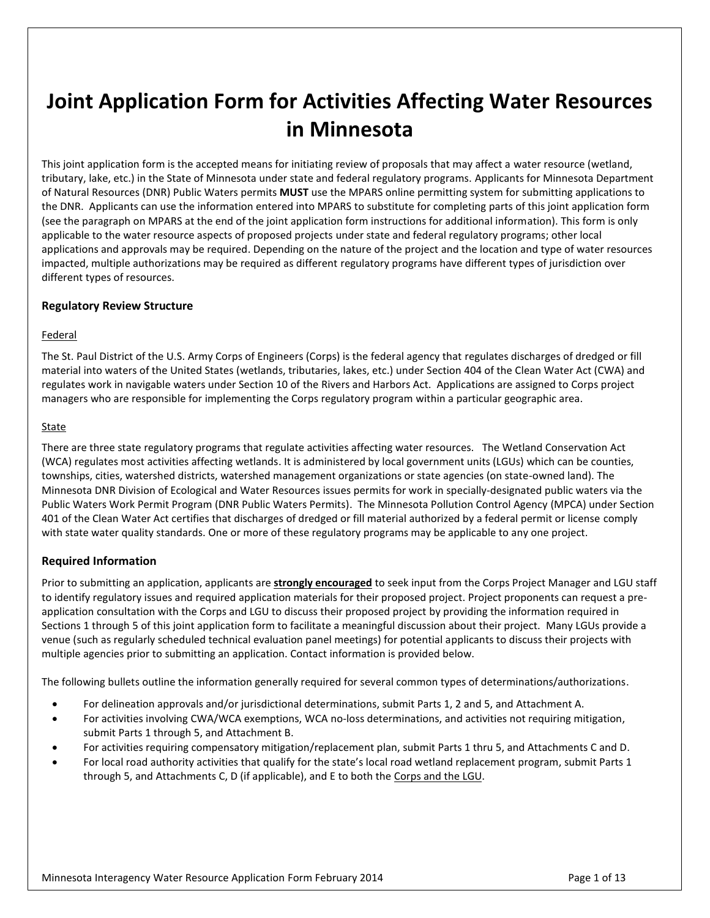# **Joint Application Form for Activities Affecting Water Resources in Minnesota**

This joint application form is the accepted means for initiating review of proposals that may affect a water resource (wetland, tributary, lake, etc.) in the State of Minnesota under state and federal regulatory programs. Applicants for Minnesota Department of Natural Resources (DNR) Public Waters permits **MUST** use the MPARS online permitting system for submitting applications to the DNR. Applicants can use the information entered into MPARS to substitute for completing parts of this joint application form (see the paragraph on MPARS at the end of the joint application form instructions for additional information). This form is only applicable to the water resource aspects of proposed projects under state and federal regulatory programs; other local applications and approvals may be required. Depending on the nature of the project and the location and type of water resources impacted, multiple authorizations may be required as different regulatory programs have different types of jurisdiction over different types of resources.

### **Regulatory Review Structure**

### Federal

The St. Paul District of the U.S. Army Corps of Engineers (Corps) is the federal agency that regulates discharges of dredged or fill material into waters of the United States (wetlands, tributaries, lakes, etc.) under Section 404 of the Clean Water Act (CWA) and regulates work in navigable waters under Section 10 of the Rivers and Harbors Act. Applications are assigned to Corps project managers who are responsible for implementing the Corps regulatory program within a particular geographic area.

#### **State**

There are three state regulatory programs that regulate activities affecting water resources. The Wetland Conservation Act (WCA) regulates most activities affecting wetlands. It is administered by local government units (LGUs) which can be counties, townships, cities, watershed districts, watershed management organizations or state agencies (on state-owned land). The Minnesota DNR Division of Ecological and Water Resources issues permits for work in specially-designated public waters via the Public Waters Work Permit Program (DNR Public Waters Permits). The Minnesota Pollution Control Agency (MPCA) under Section 401 of the Clean Water Act certifies that discharges of dredged or fill material authorized by a federal permit or license comply with state water quality standards. One or more of these regulatory programs may be applicable to any one project.

### **Required Information**

Prior to submitting an application, applicants are **strongly encouraged** to seek input from the Corps Project Manager and LGU staff to identify regulatory issues and required application materials for their proposed project. Project proponents can request a preapplication consultation with the Corps and LGU to discuss their proposed project by providing the information required in Sections 1 through 5 of this joint application form to facilitate a meaningful discussion about their project. Many LGUs provide a venue (such as regularly scheduled technical evaluation panel meetings) for potential applicants to discuss their projects with multiple agencies prior to submitting an application. Contact information is provided below.

The following bullets outline the information generally required for several common types of determinations/authorizations.

- For delineation approvals and/or jurisdictional determinations, submit Parts 1, 2 and 5, and Attachment A.
- For activities involving CWA/WCA exemptions, WCA no-loss determinations, and activities not requiring mitigation, submit Parts 1 through 5, and Attachment B.
- For activities requiring compensatory mitigation/replacement plan, submit Parts 1 thru 5, and Attachments C and D.
- For local road authority activities that qualify for the state's local road wetland replacement program, submit Parts 1 through 5, and Attachments C, D (if applicable), and E to both the Corps and the LGU.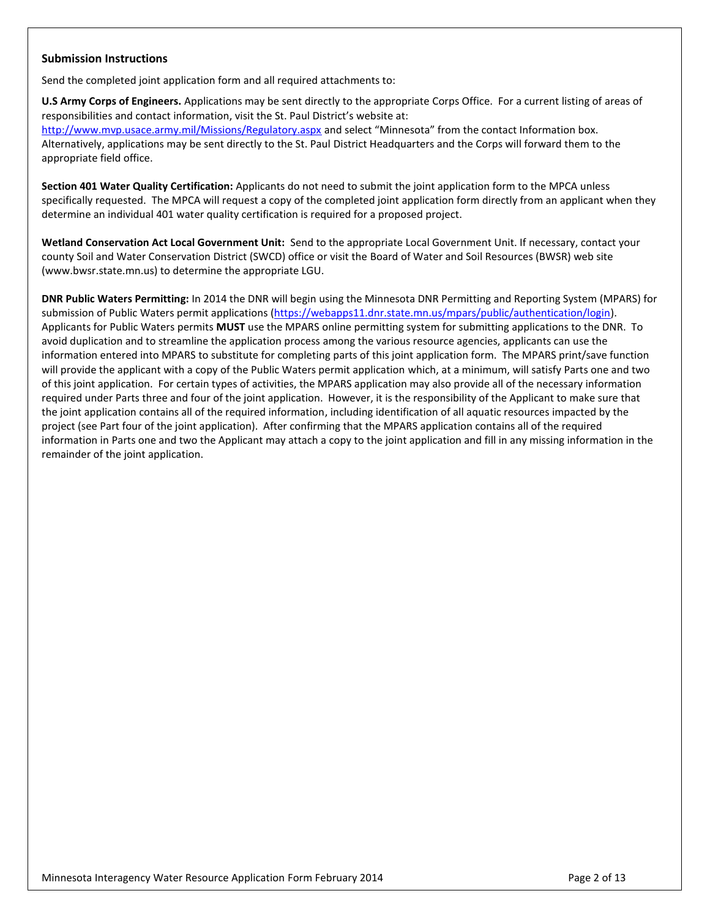### **Submission Instructions**

Send the completed joint application form and all required attachments to:

**U.S Army Corps of Engineers.** Applications may be sent directly to the appropriate Corps Office. For a current listing of areas of responsibilities and contact information, visit the St. Paul District's website at:

<http://www.mvp.usace.army.mil/Missions/Regulatory.aspx> and select "Minnesota" from the contact Information box. Alternatively, applications may be sent directly to the St. Paul District Headquarters and the Corps will forward them to the appropriate field office.

**Section 401 Water Quality Certification:** Applicants do not need to submit the joint application form to the MPCA unless specifically requested. The MPCA will request a copy of the completed joint application form directly from an applicant when they determine an individual 401 water quality certification is required for a proposed project.

**Wetland Conservation Act Local Government Unit:** Send to the appropriate Local Government Unit. If necessary, contact your county Soil and Water Conservation District (SWCD) office or visit the Board of Water and Soil Resources (BWSR) web site (www.bwsr.state.mn.us) to determine the appropriate LGU.

**DNR Public Waters Permitting:** In 2014 the DNR will begin using the Minnesota DNR Permitting and Reporting System (MPARS) for submission of Public Waters permit applications [\(https://webapps11.dnr.state.mn.us/mpars/public/authentication/login\)](https://webapps11.dnr.state.mn.us/mpars/public/authentication/login). Applicants for Public Waters permits **MUST** use the MPARS online permitting system for submitting applications to the DNR. To avoid duplication and to streamline the application process among the various resource agencies, applicants can use the information entered into MPARS to substitute for completing parts of this joint application form. The MPARS print/save function will provide the applicant with a copy of the Public Waters permit application which, at a minimum, will satisfy Parts one and two of this joint application. For certain types of activities, the MPARS application may also provide all of the necessary information required under Parts three and four of the joint application. However, it is the responsibility of the Applicant to make sure that the joint application contains all of the required information, including identification of all aquatic resources impacted by the project (see Part four of the joint application). After confirming that the MPARS application contains all of the required information in Parts one and two the Applicant may attach a copy to the joint application and fill in any missing information in the remainder of the joint application.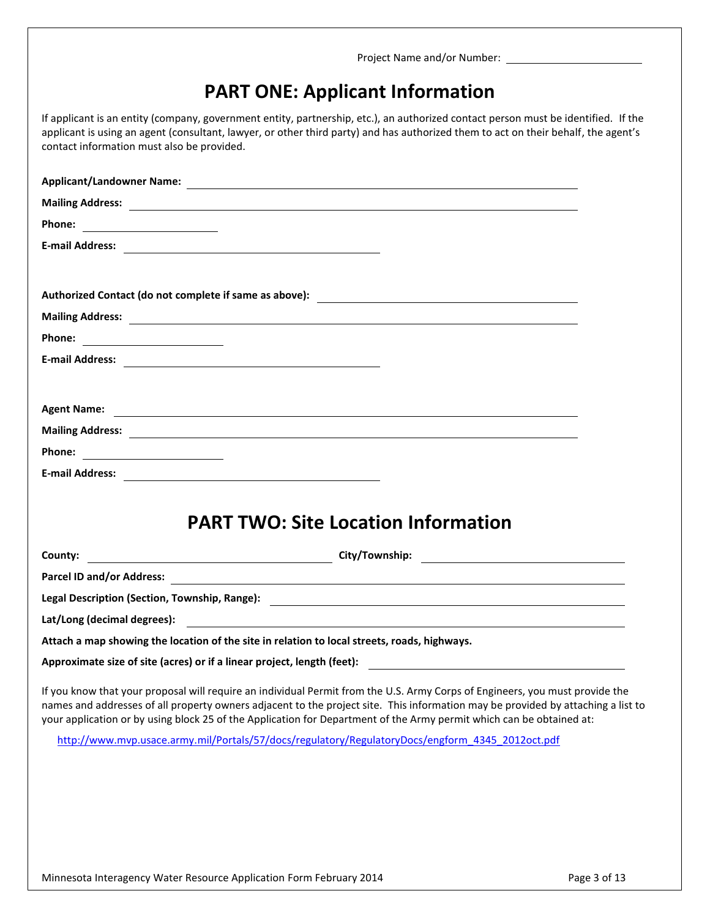# **PART ONE: Applicant Information**

If applicant is an entity (company, government entity, partnership, etc.), an authorized contact person must be identified. If the applicant is using an agent (consultant, lawyer, or other third party) and has authorized them to act on their behalf, the agent's contact information must also be provided.

|                    | Mailing Address: 2008 2014 2022 2023 2024 2022 2023 2024 2022 2023 2024 2022 2023 2024 2022 2023 2024 2022 20                                                                                                                                                    |
|--------------------|------------------------------------------------------------------------------------------------------------------------------------------------------------------------------------------------------------------------------------------------------------------|
|                    |                                                                                                                                                                                                                                                                  |
|                    |                                                                                                                                                                                                                                                                  |
|                    |                                                                                                                                                                                                                                                                  |
| <b>Agent Name:</b> | <u> 1999 - Johann Stoff, deutscher Stoffen und der Stoffen und der Stoffen und der Stoffen und der Stoffen und der Stoffen und der Stoffen und der Stoffen und der Stoffen und der Stoffen und der Stoffen und der Stoffen und d</u>                             |
|                    | Mailing Address: 2008 2014 2022 2023 2024 2022 2023 2024 2022 2023 2024 2022 2023 2024 2022 2023 2024 2022 20                                                                                                                                                    |
|                    |                                                                                                                                                                                                                                                                  |
|                    |                                                                                                                                                                                                                                                                  |
|                    | <b>PART TWO: Site Location Information</b>                                                                                                                                                                                                                       |
| County:            |                                                                                                                                                                                                                                                                  |
|                    |                                                                                                                                                                                                                                                                  |
|                    | Legal Description (Section, Township, Range): 2008 2014 2022 2023 2024 2024 2022 2023 2024 2022 2023 2024 2022                                                                                                                                                   |
|                    |                                                                                                                                                                                                                                                                  |
|                    | Attach a map showing the location of the site in relation to local streets, roads, highways.                                                                                                                                                                     |
|                    | Approximate size of site (acres) or if a linear project, length (feet):                                                                                                                                                                                          |
|                    | If you know that your proposal will require an individual Permit from the U.S. Army Corps of Engineers, you must provide the<br>names and addresses of all property owners adjacent to the project site. This information may be provided by attaching a list to |
|                    | your application or by using block 25 of the Application for Department of the Army permit which can be obtained at:                                                                                                                                             |
|                    | http://www.mvp.usace.army.mil/Portals/57/docs/regulatory/RegulatoryDocs/engform 4345 2012oct.pdf                                                                                                                                                                 |
|                    |                                                                                                                                                                                                                                                                  |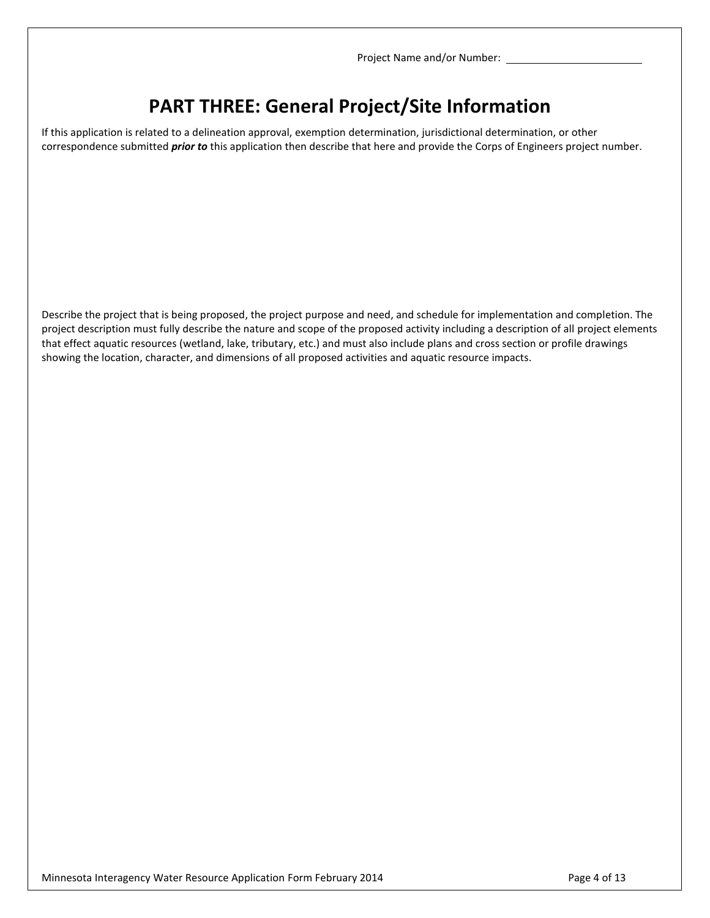## **PART THREE: General Project/Site Information**

If this application is related to a delineation approval, exemption determination, jurisdictional determination, or other correspondence submitted *prior to* this application then describe that here and provide the Corps of Engineers project number.

Describe the project that is being proposed, the project purpose and need, and schedule for implementation and completion. The project description must fully describe the nature and scope of the proposed activity including a description of all project elements that effect aquatic resources (wetland, lake, tributary, etc.) and must also include plans and cross section or profile drawings showing the location, character, and dimensions of all proposed activities and aquatic resource impacts.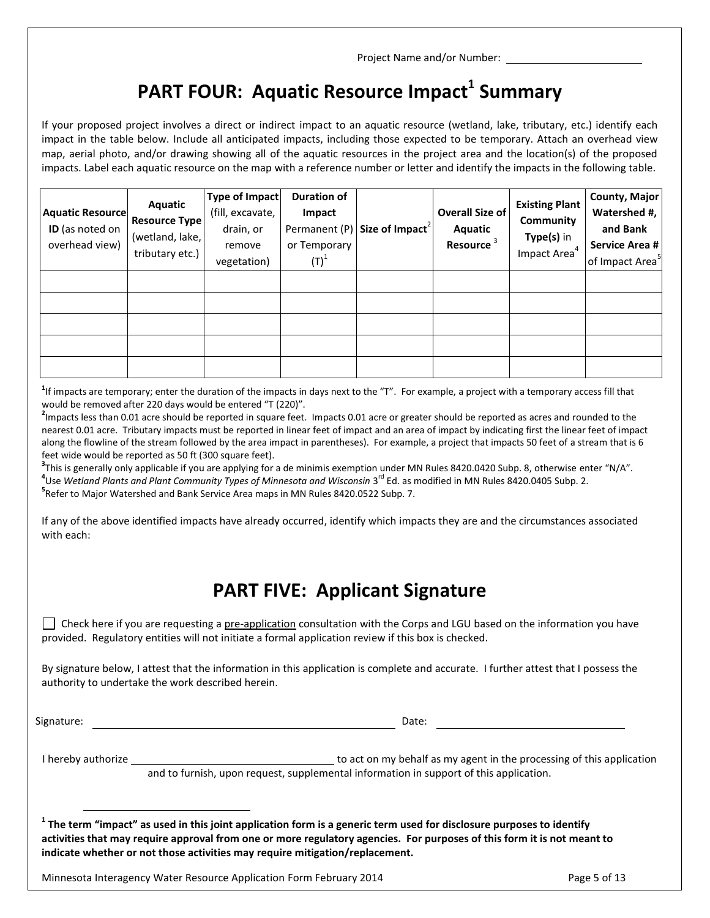# **PART FOUR: Aquatic Resource Impact<sup>1</sup> Summary**

If your proposed project involves a direct or indirect impact to an aquatic resource (wetland, lake, tributary, etc.) identify each impact in the table below. Include all anticipated impacts, including those expected to be temporary. Attach an overhead view map, aerial photo, and/or drawing showing all of the aquatic resources in the project area and the location(s) of the proposed impacts. Label each aquatic resource on the map with a reference number or letter and identify the impacts in the following table.

| <b>Aquatic Resource</b><br>ID (as noted on<br>overhead view) | Aquatic<br><b>Resource Type</b><br>(wetland, lake,<br>tributary etc.) | Type of Impact<br>(fill, excavate,<br>drain, or<br>remove<br>vegetation) | <b>Duration of</b><br>Impact<br>or Temporary<br>$\left(\mathsf{T}\right)^{1}$ | Permanent (P) Size of Impact <sup>2</sup> | <b>Overall Size of</b><br>Aquatic<br>Resource <sup>3</sup> | <b>Existing Plant</b><br>Community<br>Type(s) in<br>Impact Area <sup>4</sup> | <b>County, Major</b><br>Watershed #,<br>and Bank<br>Service Area #<br>of Impact Area <sup>5</sup> |
|--------------------------------------------------------------|-----------------------------------------------------------------------|--------------------------------------------------------------------------|-------------------------------------------------------------------------------|-------------------------------------------|------------------------------------------------------------|------------------------------------------------------------------------------|---------------------------------------------------------------------------------------------------|
|                                                              |                                                                       |                                                                          |                                                                               |                                           |                                                            |                                                                              |                                                                                                   |
|                                                              |                                                                       |                                                                          |                                                                               |                                           |                                                            |                                                                              |                                                                                                   |
|                                                              |                                                                       |                                                                          |                                                                               |                                           |                                                            |                                                                              |                                                                                                   |
|                                                              |                                                                       |                                                                          |                                                                               |                                           |                                                            |                                                                              |                                                                                                   |

<sup>1</sup>If impacts are temporary; enter the duration of the impacts in days next to the "T". For example, a project with a temporary access fill that would be removed after 220 days would be entered "T (220)".

**2** Impacts less than 0.01 acre should be reported in square feet. Impacts 0.01 acre or greater should be reported as acres and rounded to the nearest 0.01 acre. Tributary impacts must be reported in linear feet of impact and an area of impact by indicating first the linear feet of impact along the flowline of the stream followed by the area impact in parentheses). For example, a project that impacts 50 feet of a stream that is 6 feet wide would be reported as 50 ft (300 square feet).

**3** This is generally only applicable if you are applying for a de minimis exemption under MN Rules 8420.0420 Subp. 8, otherwise enter "N/A". **4** Use *Wetland Plants and Plant Community Types of Minnesota and Wisconsin* 3 rd Ed. as modified in MN Rules 8420.0405 Subp. 2. **5** Refer to Major Watershed and Bank Service Area maps in MN Rules 8420.0522 Subp. 7.

If any of the above identified impacts have already occurred, identify which impacts they are and the circumstances associated with each:

### **PART FIVE: Applicant Signature**

 $\vert\,\,\vert$  Check here if you are requesting a pre-application consultation with the Corps and LGU based on the information you have provided. Regulatory entities will not initiate a formal application review if this box is checked.

By signature below, I attest that the information in this application is complete and accurate. I further attest that I possess the authority to undertake the work described herein.

Signature: Date: Date: Date: Date: Date: Date: Date: Date: Date: Date: Date: Date: Date: Date: Date: Date: Date: Date: Date: Date: Date: Date: Date: Date: Date: Date: Date: Date: Date: Date: Date: Date: Date: Date: Date: D

 $\overline{a}$ 

I hereby authorize  $\Box$ and to furnish, upon request, supplemental information in support of this application.

**1 The term "impact" as used in this joint application form is a generic term used for disclosure purposes to identify activities that may require approval from one or more regulatory agencies. For purposes of this form it is not meant to indicate whether or not those activities may require mitigation/replacement.** 

Minnesota Interagency Water Resource Application Form February 2014 **Page 1 and Strutter Application** Page 5 of 13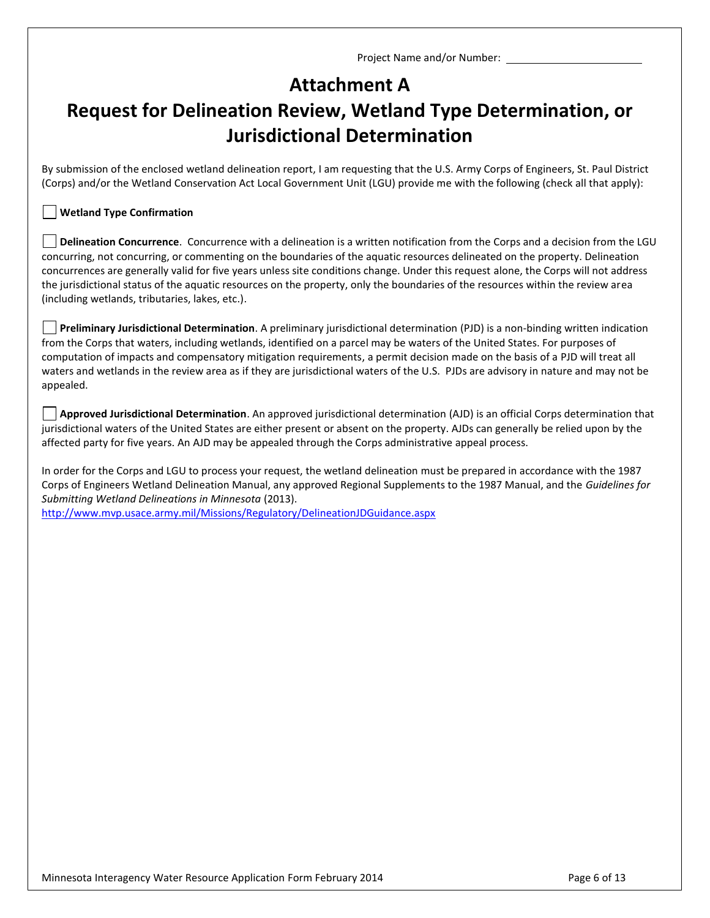### **Attachment A**

# **Request for Delineation Review, Wetland Type Determination, or Jurisdictional Determination**

By submission of the enclosed wetland delineation report, I am requesting that the U.S. Army Corps of Engineers, St. Paul District (Corps) and/or the Wetland Conservation Act Local Government Unit (LGU) provide me with the following (check all that apply):

### **Wetland Type Confirmation**

**Delineation Concurrence**. Concurrence with a delineation is a written notification from the Corps and a decision from the LGU concurring, not concurring, or commenting on the boundaries of the aquatic resources delineated on the property. Delineation concurrences are generally valid for five years unless site conditions change. Under this request alone, the Corps will not address the jurisdictional status of the aquatic resources on the property, only the boundaries of the resources within the review area (including wetlands, tributaries, lakes, etc.).

**Preliminary Jurisdictional Determination**. A preliminary jurisdictional determination (PJD) is a non-binding written indication from the Corps that waters, including wetlands, identified on a parcel may be waters of the United States. For purposes of computation of impacts and compensatory mitigation requirements, a permit decision made on the basis of a PJD will treat all waters and wetlands in the review area as if they are jurisdictional waters of the U.S. PJDs are advisory in nature and may not be appealed.

**Approved Jurisdictional Determination**. An approved jurisdictional determination (AJD) is an official Corps determination that jurisdictional waters of the United States are either present or absent on the property. AJDs can generally be relied upon by the affected party for five years. An AJD may be appealed through the Corps administrative appeal process.

In order for the Corps and LGU to process your request, the wetland delineation must be prepared in accordance with the 1987 Corps of Engineers Wetland Delineation Manual, any approved Regional Supplements to the 1987 Manual, and the *Guidelines for Submitting Wetland Delineations in Minnesota* (2013).

<http://www.mvp.usace.army.mil/Missions/Regulatory/DelineationJDGuidance.aspx>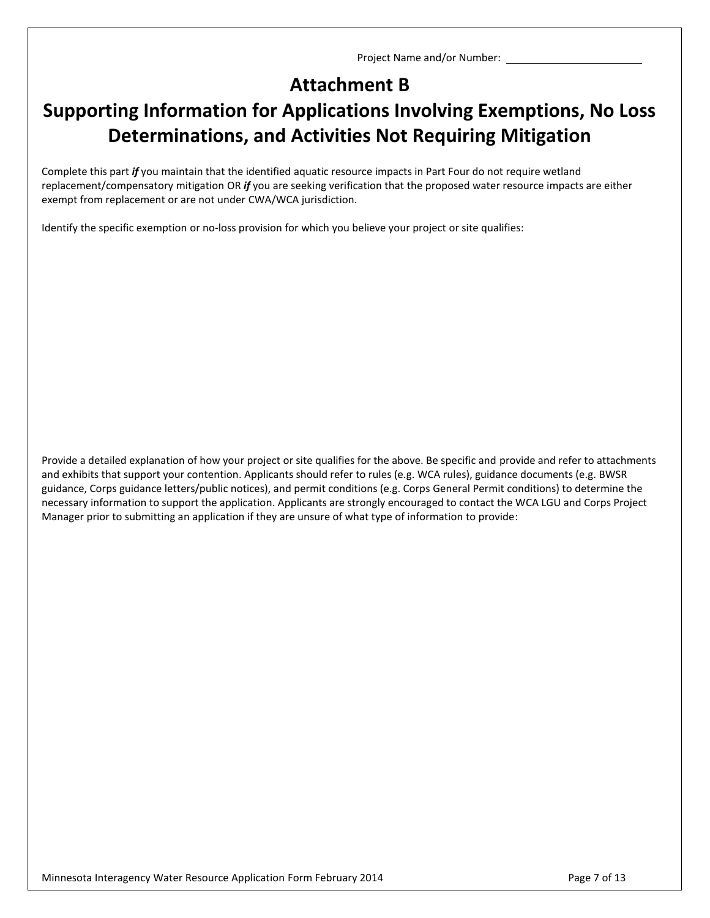## **Attachment B**

# **Supporting Information for Applications Involving Exemptions, No Loss Determinations, and Activities Not Requiring Mitigation**

Complete this part *if* you maintain that the identified aquatic resource impacts in Part Four do not require wetland replacement/compensatory mitigation OR *if* you are seeking verification that the proposed water resource impacts are either exempt from replacement or are not under CWA/WCA jurisdiction.

Identify the specific exemption or no-loss provision for which you believe your project or site qualifies:

Provide a detailed explanation of how your project or site qualifies for the above. Be specific and provide and refer to attachments and exhibits that support your contention. Applicants should refer to rules (e.g. WCA rules), guidance documents (e.g. BWSR guidance, Corps guidance letters/public notices), and permit conditions (e.g. Corps General Permit conditions) to determine the necessary information to support the application. Applicants are strongly encouraged to contact the WCA LGU and Corps Project Manager prior to submitting an application if they are unsure of what type of information to provide: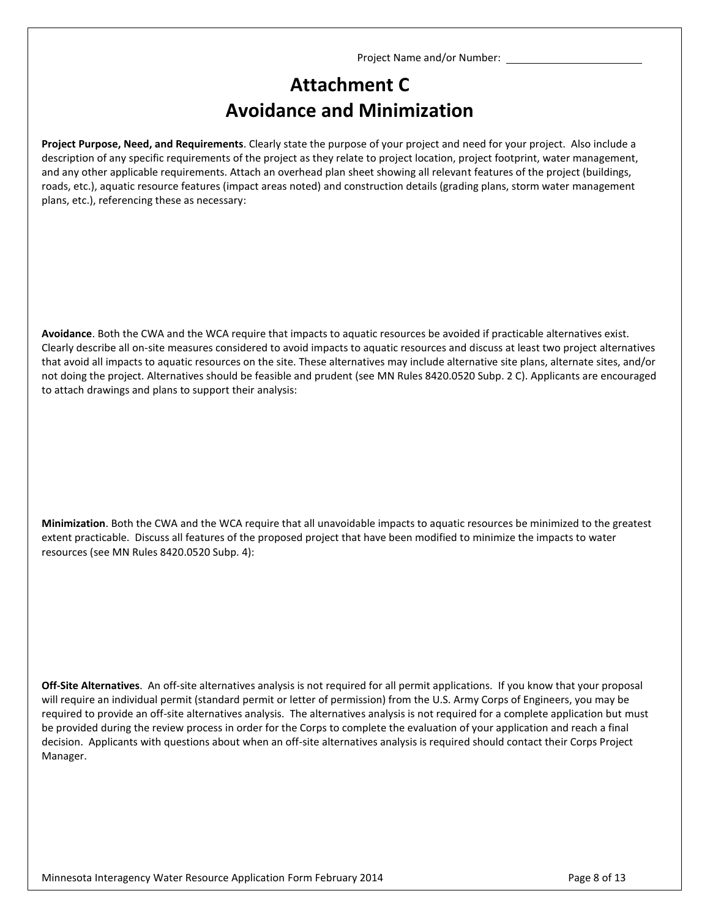## **Attachment C Avoidance and Minimization**

**Project Purpose, Need, and Requirements**. Clearly state the purpose of your project and need for your project. Also include a description of any specific requirements of the project as they relate to project location, project footprint, water management, and any other applicable requirements. Attach an overhead plan sheet showing all relevant features of the project (buildings, roads, etc.), aquatic resource features (impact areas noted) and construction details (grading plans, storm water management plans, etc.), referencing these as necessary:

**Avoidance**. Both the CWA and the WCA require that impacts to aquatic resources be avoided if practicable alternatives exist. Clearly describe all on-site measures considered to avoid impacts to aquatic resources and discuss at least two project alternatives that avoid all impacts to aquatic resources on the site. These alternatives may include alternative site plans, alternate sites, and/or not doing the project. Alternatives should be feasible and prudent (see MN Rules 8420.0520 Subp. 2 C). Applicants are encouraged to attach drawings and plans to support their analysis:

**Minimization**. Both the CWA and the WCA require that all unavoidable impacts to aquatic resources be minimized to the greatest extent practicable. Discuss all features of the proposed project that have been modified to minimize the impacts to water resources (see MN Rules 8420.0520 Subp. 4):

**Off-Site Alternatives**. An off-site alternatives analysis is not required for all permit applications. If you know that your proposal will require an individual permit (standard permit or letter of permission) from the U.S. Army Corps of Engineers, you may be required to provide an off-site alternatives analysis. The alternatives analysis is not required for a complete application but must be provided during the review process in order for the Corps to complete the evaluation of your application and reach a final decision. Applicants with questions about when an off-site alternatives analysis is required should contact their Corps Project Manager.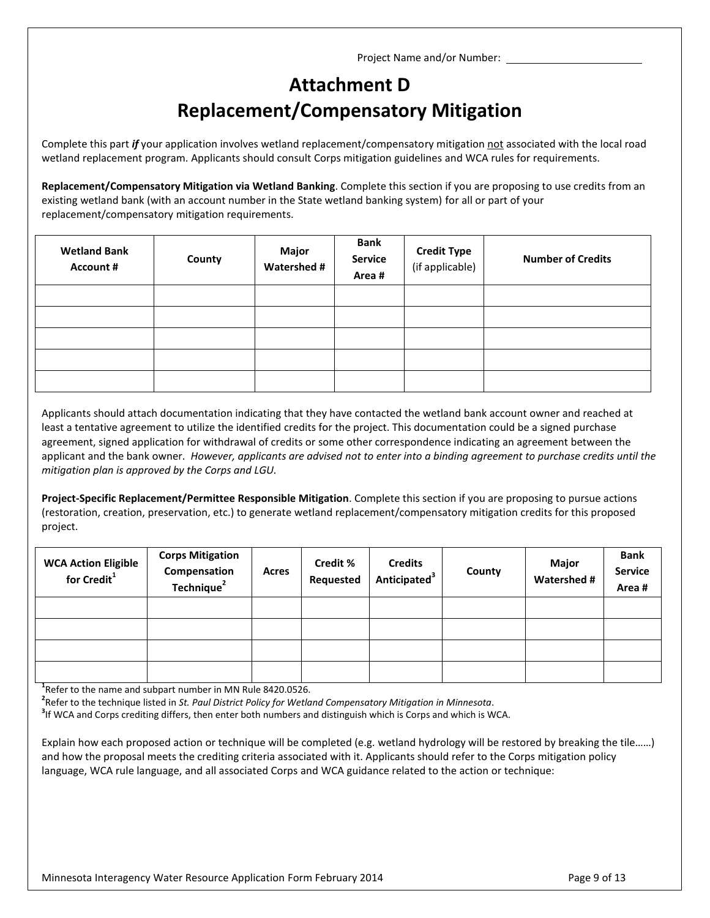## **Attachment D Replacement/Compensatory Mitigation**

Complete this part *if* your application involves wetland replacement/compensatory mitigation not associated with the local road wetland replacement program. Applicants should consult Corps mitigation guidelines and WCA rules for requirements.

**Replacement/Compensatory Mitigation via Wetland Banking**. Complete this section if you are proposing to use credits from an existing wetland bank (with an account number in the State wetland banking system) for all or part of your replacement/compensatory mitigation requirements.

| <b>Wetland Bank</b><br><b>Account #</b> | County | Major<br><b>Watershed #</b> | <b>Bank</b><br><b>Service</b><br>Area# | <b>Credit Type</b><br>(if applicable) | <b>Number of Credits</b> |
|-----------------------------------------|--------|-----------------------------|----------------------------------------|---------------------------------------|--------------------------|
|                                         |        |                             |                                        |                                       |                          |
|                                         |        |                             |                                        |                                       |                          |
|                                         |        |                             |                                        |                                       |                          |
|                                         |        |                             |                                        |                                       |                          |
|                                         |        |                             |                                        |                                       |                          |

Applicants should attach documentation indicating that they have contacted the wetland bank account owner and reached at least a tentative agreement to utilize the identified credits for the project. This documentation could be a signed purchase agreement, signed application for withdrawal of credits or some other correspondence indicating an agreement between the applicant and the bank owner. *However, applicants are advised not to enter into a binding agreement to purchase credits until the mitigation plan is approved by the Corps and LGU.*

**Project-Specific Replacement/Permittee Responsible Mitigation**. Complete this section if you are proposing to pursue actions (restoration, creation, preservation, etc.) to generate wetland replacement/compensatory mitigation credits for this proposed project.

| <b>WCA Action Eligible</b><br>for Credit <sup>1</sup> | <b>Corps Mitigation</b><br>Compensation<br>Technique <sup>2</sup> | Acres | <b>Credit %</b><br>Requested | <b>Credits</b><br>Anticipated <sup>3</sup> | County | <b>Major</b><br><b>Watershed #</b> | <b>Bank</b><br><b>Service</b><br>Area# |
|-------------------------------------------------------|-------------------------------------------------------------------|-------|------------------------------|--------------------------------------------|--------|------------------------------------|----------------------------------------|
|                                                       |                                                                   |       |                              |                                            |        |                                    |                                        |
|                                                       |                                                                   |       |                              |                                            |        |                                    |                                        |
|                                                       |                                                                   |       |                              |                                            |        |                                    |                                        |
|                                                       |                                                                   |       |                              |                                            |        |                                    |                                        |

**1** Refer to the name and subpart number in MN Rule 8420.0526.

**2** Refer to the technique listed in *St. Paul District Policy for Wetland Compensatory Mitigation in Minnesota*.

**3** If WCA and Corps crediting differs, then enter both numbers and distinguish which is Corps and which is WCA.

Explain how each proposed action or technique will be completed (e.g. wetland hydrology will be restored by breaking the tile……) and how the proposal meets the crediting criteria associated with it. Applicants should refer to the Corps mitigation policy language, WCA rule language, and all associated Corps and WCA guidance related to the action or technique: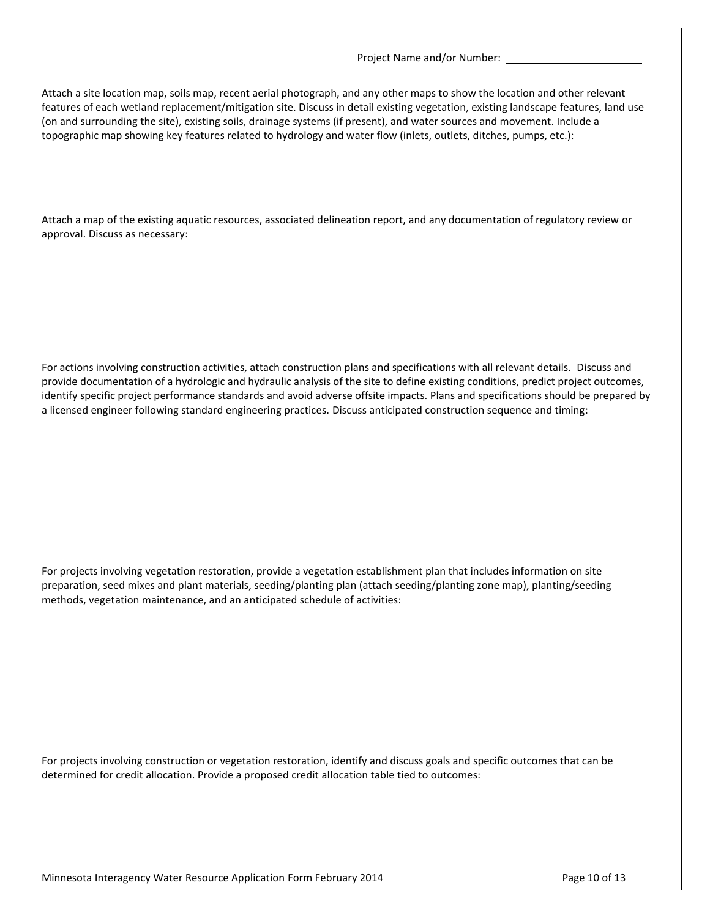Attach a site location map, soils map, recent aerial photograph, and any other maps to show the location and other relevant features of each wetland replacement/mitigation site. Discuss in detail existing vegetation, existing landscape features, land use (on and surrounding the site), existing soils, drainage systems (if present), and water sources and movement. Include a topographic map showing key features related to hydrology and water flow (inlets, outlets, ditches, pumps, etc.):

Attach a map of the existing aquatic resources, associated delineation report, and any documentation of regulatory review or approval. Discuss as necessary:

For actions involving construction activities, attach construction plans and specifications with all relevant details. Discuss and provide documentation of a hydrologic and hydraulic analysis of the site to define existing conditions, predict project outcomes, identify specific project performance standards and avoid adverse offsite impacts. Plans and specifications should be prepared by a licensed engineer following standard engineering practices. Discuss anticipated construction sequence and timing:

For projects involving vegetation restoration, provide a vegetation establishment plan that includes information on site preparation, seed mixes and plant materials, seeding/planting plan (attach seeding/planting zone map), planting/seeding methods, vegetation maintenance, and an anticipated schedule of activities:

For projects involving construction or vegetation restoration, identify and discuss goals and specific outcomes that can be determined for credit allocation. Provide a proposed credit allocation table tied to outcomes: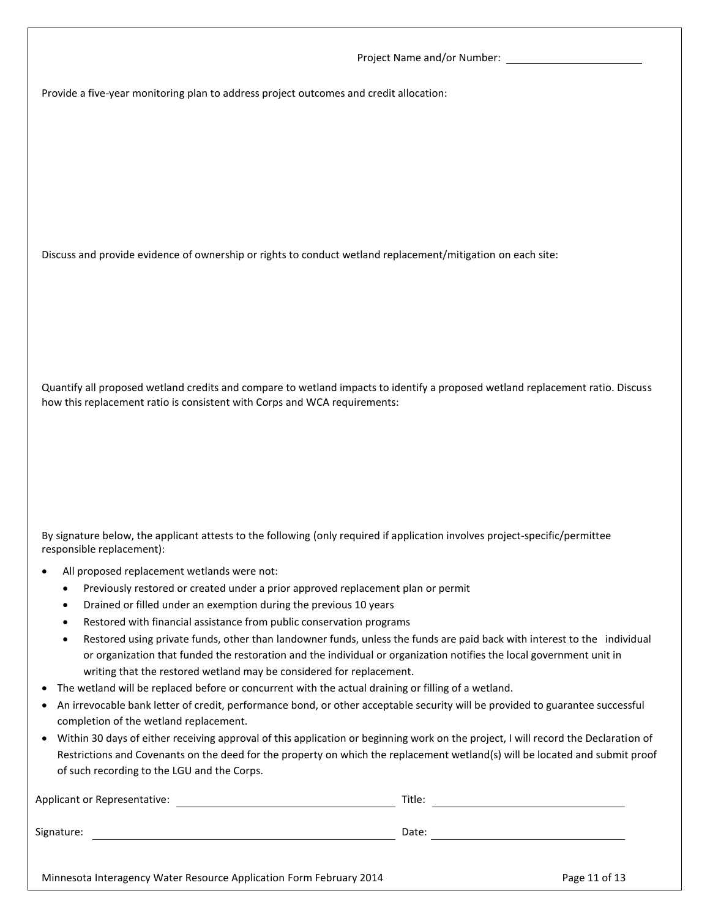Provide a five-year monitoring plan to address project outcomes and credit allocation:

Discuss and provide evidence of ownership or rights to conduct wetland replacement/mitigation on each site:

Quantify all proposed wetland credits and compare to wetland impacts to identify a proposed wetland replacement ratio. Discuss how this replacement ratio is consistent with Corps and WCA requirements:

By signature below, the applicant attests to the following (only required if application involves project-specific/permittee responsible replacement):

- All proposed replacement wetlands were not:
	- Previously restored or created under a prior approved replacement plan or permit
	- Drained or filled under an exemption during the previous 10 years
	- Restored with financial assistance from public conservation programs
	- Restored using private funds, other than landowner funds, unless the funds are paid back with interest to the individual or organization that funded the restoration and the individual or organization notifies the local government unit in writing that the restored wetland may be considered for replacement.
- The wetland will be replaced before or concurrent with the actual draining or filling of a wetland.
- An irrevocable bank letter of credit, performance bond, or other acceptable security will be provided to guarantee successful completion of the wetland replacement.
- Within 30 days of either receiving approval of this application or beginning work on the project, I will record the Declaration of Restrictions and Covenants on the deed for the property on which the replacement wetland(s) will be located and submit proof of such recording to the LGU and the Corps.

| Applicant or Representative:                                        | Title: |               |
|---------------------------------------------------------------------|--------|---------------|
| Signature:                                                          | Date:  |               |
| Minnesota Interagency Water Resource Application Form February 2014 |        | Page 11 of 13 |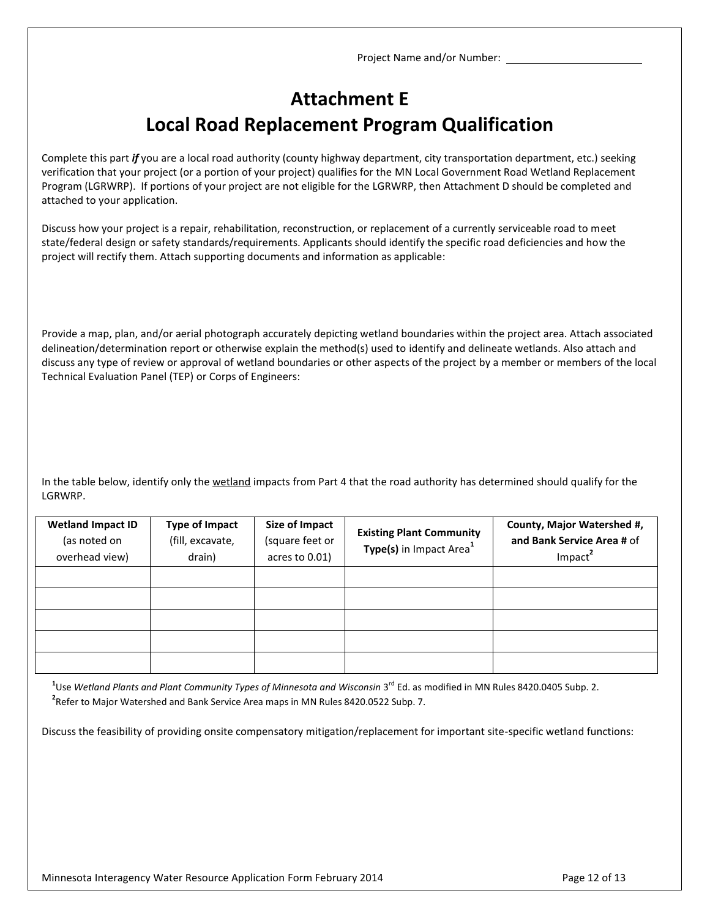## **Attachment E Local Road Replacement Program Qualification**

Complete this part *if* you are a local road authority (county highway department, city transportation department, etc.) seeking verification that your project (or a portion of your project) qualifies for the MN Local Government Road Wetland Replacement Program (LGRWRP). If portions of your project are not eligible for the LGRWRP, then Attachment D should be completed and attached to your application.

Discuss how your project is a repair, rehabilitation, reconstruction, or replacement of a currently serviceable road to meet state/federal design or safety standards/requirements. Applicants should identify the specific road deficiencies and how the project will rectify them. Attach supporting documents and information as applicable:

Provide a map, plan, and/or aerial photograph accurately depicting wetland boundaries within the project area. Attach associated delineation/determination report or otherwise explain the method(s) used to identify and delineate wetlands. Also attach and discuss any type of review or approval of wetland boundaries or other aspects of the project by a member or members of the local Technical Evaluation Panel (TEP) or Corps of Engineers:

In the table below, identify only the wetland impacts from Part 4 that the road authority has determined should qualify for the LGRWRP.

| <b>Wetland Impact ID</b><br>(as noted on<br>overhead view) | <b>Type of Impact</b><br>(fill, excavate,<br>drain) | <b>Size of Impact</b><br>(square feet or<br>acres to 0.01) | <b>Existing Plant Community</b><br>Type(s) in Impact Area <sup>1</sup> | County, Major Watershed #,<br>and Bank Service Area # of<br>Impact <sup>2</sup> |
|------------------------------------------------------------|-----------------------------------------------------|------------------------------------------------------------|------------------------------------------------------------------------|---------------------------------------------------------------------------------|
|                                                            |                                                     |                                                            |                                                                        |                                                                                 |
|                                                            |                                                     |                                                            |                                                                        |                                                                                 |
|                                                            |                                                     |                                                            |                                                                        |                                                                                 |
|                                                            |                                                     |                                                            |                                                                        |                                                                                 |
|                                                            |                                                     |                                                            |                                                                        |                                                                                 |

 $^{\rm 1}$ Use Wetland Plants and Plant Community Types of Minnesota and Wisconsin 3<sup>rd</sup> Ed. as modified in MN Rules 8420.0405 Subp. 2. **2** Refer to Major Watershed and Bank Service Area maps in MN Rules 8420.0522 Subp. 7.

Discuss the feasibility of providing onsite compensatory mitigation/replacement for important site-specific wetland functions: